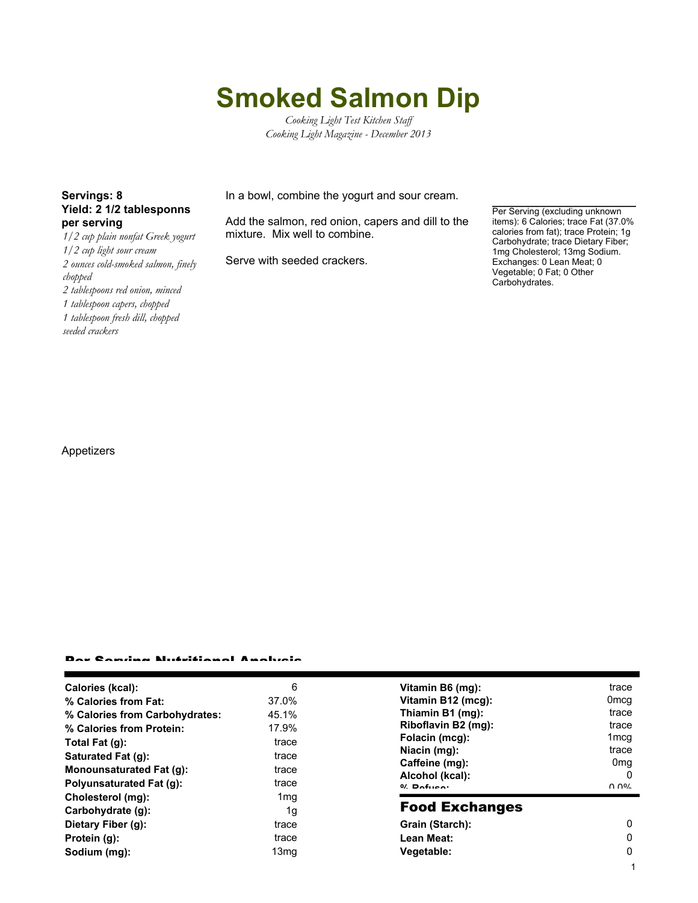# **Smoked Salmon Dip**

*Cooking Light Test Kitchen Staff Cooking Light Magazine - December 2013*

## **Yield: 2 1/2 tablesponns per serving**

*1/2 cup plain nonfat Greek yogurt 1/2 cup light sour cream 2 ounces cold-smoked salmon, finely chopped 2 tablespoons red onion, minced 1 tablespoon capers, chopped 1 tablespoon fresh dill, chopped seeded crackers*

**Servings: 8** In a bowl, combine the yogurt and sour cream.

Add the salmon, red onion, capers and dill to the mixture. Mix well to combine.

Serve with seeded crackers.

Per Serving (excluding unknown items): 6 Calories; trace Fat (37.0% calories from fat); trace Protein; 1g Carbohydrate; trace Dietary Fiber; 1mg Cholesterol; 13mg Sodium. Exchanges: 0 Lean Meat; 0 Vegetable; 0 Fat; 0 Other Carbohydrates.

Appetizers

#### Per Serving Nutritional Analysis

| Calories (kcal):               | 6     |
|--------------------------------|-------|
| % Calories from Fat:           | 37.0% |
| % Calories from Carbohydrates: | 45.1% |
| % Calories from Protein:       | 17.9% |
| Total Fat (g):                 | trace |
| Saturated Fat (q):             | trace |
| Monounsaturated Fat (q):       | trace |
| Polyunsaturated Fat (q):       | trace |
| Cholesterol (mg):              | 1mq   |
| Carbohydrate (g):              | 1q    |
| Dietary Fiber (g):             | trace |
| Protein (g):                   | trace |
| Sodium (mg):                   | 13mg  |
|                                |       |

| Vitamin B6 (mg):    | trace            |
|---------------------|------------------|
| Vitamin B12 (mcg):  | 0 <sub>mcq</sub> |
| Thiamin B1 (mg):    | trace            |
| Riboflavin B2 (mg): | trace            |
| Folacin (mcg):      | 1 <sub>mcq</sub> |
| Niacin (mg):        | trace            |
| Caffeine (mg):      | 0mg              |
| Alcohol (kcal):     |                  |
| $0/$ Defines        | ስ ሰዐረ            |

### Food Exchanges

| Grain (Starch): |  |
|-----------------|--|
| Lean Meat:      |  |
| Vegetable:      |  |
|                 |  |